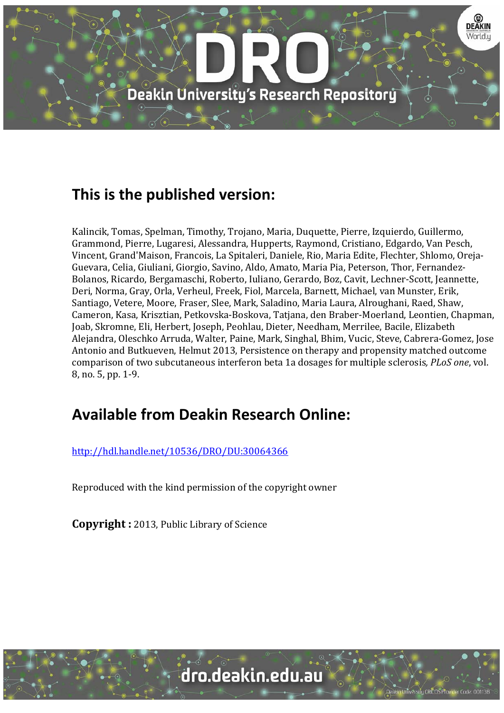

## **This is the published version:**

Kalincik, Tomas, Spelman, Timothy, Trojano, Maria, Duquette, Pierre, Izquierdo, Guillermo, Grammond, Pierre, Lugaresi, Alessandra, Hupperts, Raymond, Cristiano, Edgardo, Van Pesch, Vincent, Grand'Maison, Francois, La Spitaleri, Daniele, Rio, Maria Edite, Flechter, Shlomo, Oreja-Guevara, Celia, Giuliani, Giorgio, Savino, Aldo, Amato, Maria Pia, Peterson, Thor, Fernandez-Bolanos, Ricardo, Bergamaschi, Roberto, Iuliano, Gerardo, Boz, Cavit, Lechner-Scott, Jeannette, Deri, Norma, Gray, Orla, Verheul, Freek, Fiol, Marcela, Barnett, Michael, van Munster, Erik, Santiago, Vetere, Moore, Fraser, Slee, Mark, Saladino, Maria Laura, Alroughani, Raed, Shaw, Cameron, Kasa, Krisztian, Petkovska-Boskova, Tatiana, den Braber-Moerland, Leontien, Chapman, Joab, Skromne, Eli, Herbert, Joseph, Peohlau, Dieter, Needham, Merrilee, Bacile, Elizabeth Alejandra, Oleschko Arruda, Walter, Paine, Mark, Singhal, Bhim, Vucic, Steve, Cabrera-Gomez, Jose Antonio and Butkueven, Helmut 2013, Persistence on therapy and propensity matched outcome comparison of two subcutaneous interferon beta 1a dosages for multiple sclerosis*, PLoS one*, vol. 8, no. 5, pp. 1-9.

# **Available from Deakin Research Online:**

http://hdl.handle.net/10536/DRO/DU:30064366

Reproduced with the kind permission of the copyright owner

**Copyright** : 2013, Public Library of Science

itu CRICOS Provider Code: 00113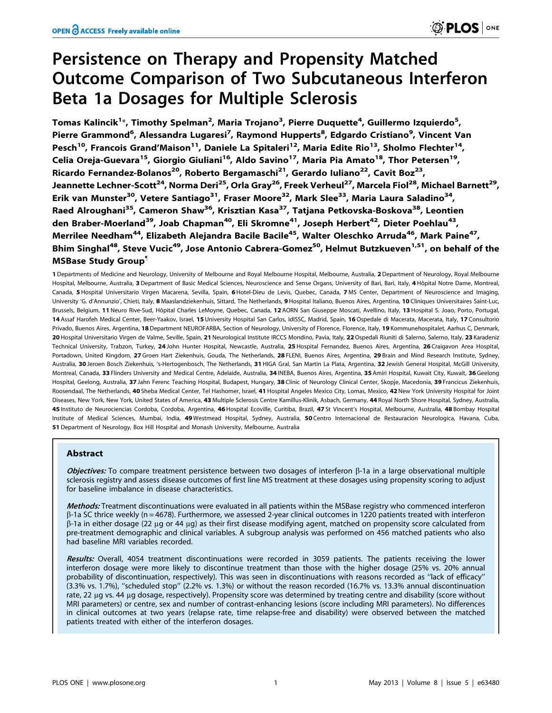## Persistence on Therapy and Propensity Matched Outcome Comparison of Two Subcutaneous Interferon Beta 1a Dosages for Multiple Sclerosis

Tomas Kalincik<sup>1</sup>\*, Timothy Spelman<sup>2</sup>, Maria Trojano<sup>3</sup>, Pierre Duquette<sup>4</sup>, Guillermo Izquierdo<sup>5</sup>, Pierre Grammond<sup>6</sup>, Alessandra Lugaresi<sup>7</sup>, Raymond Hupperts<sup>8</sup>, Edgardo Cristiano<sup>9</sup>, Vincent Van Pesch<sup>10</sup>, Francois Grand'Maison<sup>11</sup>, Daniele La Spitaleri<sup>12</sup>, Maria Edite Rio<sup>13</sup>, Sholmo Flechter<sup>14</sup>, Celia Oreja-Guevara<sup>15</sup>, Giorgio Giuliani<sup>16</sup>, Aldo Savino<sup>17</sup>, Maria Pia Amato<sup>18</sup>, Thor Petersen<sup>19</sup>, Ricardo Fernandez-Bolanos<sup>20</sup>, Roberto Bergamaschi<sup>21</sup>, Gerardo Iuliano<sup>22</sup>, Cavit Boz<sup>23</sup>, Jeannette Lechner-Scott<sup>24</sup>, Norma Deri<sup>25</sup>, Orla Gray<sup>26</sup>, Freek Verheul<sup>27</sup>, Marcela Fiol<sup>28</sup>, Michael Barnett<sup>29</sup>, Erik van Munster<sup>30</sup>, Vetere Santiago<sup>31</sup>, Fraser Moore<sup>32</sup>, Mark Slee<sup>33</sup>, Maria Laura Saladino<sup>34</sup>, Raed Alroughani<sup>35</sup>, Cameron Shaw<sup>36</sup>, Krisztian Kasa<sup>37</sup>, Tatjana Petkovska-Boskova<sup>38</sup>, Leontien den Braber-Moerland<sup>39</sup>, Joab Chapman<sup>40</sup>, Eli Skromne<sup>41</sup>, Joseph Herbert<sup>42</sup>, Dieter Poehlau<sup>43</sup>, Merrilee Needham<sup>44</sup>, Elizabeth Alejandra Bacile Bacile<sup>45</sup>, Walter Oleschko Arruda<sup>46</sup>, Mark Paine<sup>47</sup>, Bhim Singhal<sup>48</sup>, Steve Vucic<sup>49</sup>, Jose Antonio Cabrera-Gomez<sup>50</sup>, Helmut Butzkueven<sup>1,51</sup>, on behalf of the MSBase Study Group"

1 Departments of Medicine and Neurology, University of Melbourne and Royal Melbourne Hospital, Melbourne, Australia, 2 Department of Neurology, Royal Melbourne Hospital, Melbourne, Australia, 3 Department of Basic Medical Sciences, Neuroscience and Sense Organs, University of Bari, Bari, Italy, 4 Hôpital Notre Dame, Montreal, Canada, 5 Hospital Universitario Virgen Macarena, Sevilla, Spain, 6Hotel-Dieu de Levis, Quebec, Canada, 7 MS Center, Department of Neuroscience and Imaging, University 'G. d'Annunzio', Chieti, Italy, 8 Maaslandziekenhuis, Sittard, The Netherlands, 9 Hospital Italiano, Buenos Aires, Argentina, 10 Cliniques Universitaires Saint-Luc, Brussels, Belgium, 11 Neuro Rive-Sud, Hôpital Charles LeMoyne, Quebec, Canada, 12 AORN San Giuseppe Moscati, Avellino, Italy, 13 Hospital S. Joao, Porto, Portugal, 14 Assaf Harofeh Medical Center, Beer-Yaakov, Israel, 15 University Hospital San Carlos, IdISSC, Madrid, Spain, 16 Ospedale di Macerata, Macerata, Italy, 17 Consultorio Privado, Buenos Aires, Argentina, 18 Department NEUROFARBA, Section of Neurology, University of Florence, Florence, Italy, 19 Kommunehospitalet, Aarhus C, Denmark, 20 Hospital Universitario Virgen de Valme, Seville, Spain, 21 Neurological Institute IRCCS Mondino, Pavia, Italy, 22 Ospedali Riuniti di Salerno, Salerno, Italy, 23 Karadeniz Technical University, Trabzon, Turkey, 24 John Hunter Hospital, Newcastle, Australia, 25 Hospital Fernandez, Buenos Aires, Argentina, 26 Craigavon Area Hospital, Portadown, United Kingdom, 27 Groen Hart Ziekenhuis, Gouda, The Netherlands, 28 FLENI, Buenos Aires, Argentina, 29 Brain and Mind Research Institute, Sydney, Australia, 30 Jeroen Bosch Ziekenhuis, 's-Hertogenbosch, The Netherlands, 31 HIGA Gral, San Martin La Plata, Argentina, 32 Jewish General Hospital, McGill University, Montreal, Canada, 33 Flinders University and Medical Centre, Adelaide, Australia, 34 INEBA, Buenos Aires, Argentina, 35 Amiri Hospital, Kuwait City, Kuwait, 36 Geelong Hospital, Geelong, Australia, 37 Jahn Ferenc Teaching Hospital, Budapest, Hungary, 38 Clinic of Neurology Clinical Center, Skopje, Macedonia, 39 Francicus Ziekenhuis, Roosendaal, The Netherlands, 40 Sheba Medical Center, Tel Hashomer, Israel, 41 Hospital Angeles Mexico City, Lomas, Mexico, 42 New York University Hospital for Joint Diseases, New York, New York, United States of America, 43 Multiple Sclerosis Centre Kamillus-Klinik, Asbach, Germany, 44 Royal North Shore Hospital, Sydney, Australia, 45 Instituto de Neurociencias Cordoba, Cordoba, Argentina, 46 Hospital Ecoville, Curitiba, Brazil, 47 St Vincent's Hospital, Melbourne, Australia, 48 Bombay Hospital Institute of Medical Sciences, Mumbai, India, 49 Westmead Hospital, Sydney, Australia, 50 Centro Internacional de Restauracion Neurologica, Havana, Cuba, 51 Department of Neurology, Box Hill Hospital and Monash University, Melbourne, Australia

## Abstract

Objectives: To compare treatment persistence between two dosages of interferon  $\beta$ -1a in a large observational multiple sclerosis registry and assess disease outcomes of first line MS treatment at these dosages using propensity scoring to adjust for baseline imbalance in disease characteristics.

Methods: Treatment discontinuations were evaluated in all patients within the MSBase registry who commenced interferon  $\beta$ -1a SC thrice weekly (n = 4678). Furthermore, we assessed 2-year clinical outcomes in 1220 patients treated with interferon  $\beta$ -1a in either dosage (22 µg or 44 µg) as their first disease modifying agent, matched on propensity score calculated from pre-treatment demographic and clinical variables. A subgroup analysis was performed on 456 matched patients who also had baseline MRI variables recorded.

Results: Overall, 4054 treatment discontinuations were recorded in 3059 patients. The patients receiving the lower interferon dosage were more likely to discontinue treatment than those with the higher dosage (25% vs. 20% annual probability of discontinuation, respectively). This was seen in discontinuations with reasons recorded as ''lack of efficacy'' (3.3% vs. 1.7%), ''scheduled stop'' (2.2% vs. 1.3%) or without the reason recorded (16.7% vs. 13.3% annual discontinuation rate, 22 µg vs. 44 µg dosage, respectively). Propensity score was determined by treating centre and disability (score without MRI parameters) or centre, sex and number of contrast-enhancing lesions (score including MRI parameters). No differences in clinical outcomes at two years (relapse rate, time relapse-free and disability) were observed between the matched patients treated with either of the interferon dosages.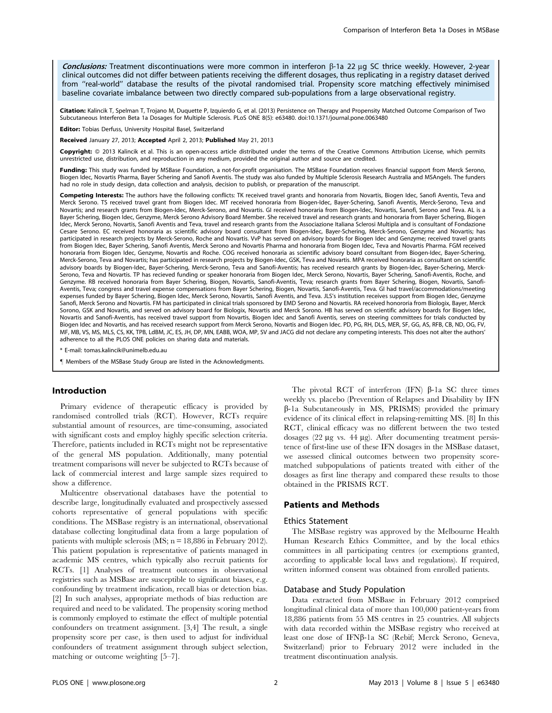Conclusions: Treatment discontinuations were more common in interferon B-1a 22 µg SC thrice weekly. However, 2-year clinical outcomes did not differ between patients receiving the different dosages, thus replicating in a registry dataset derived from ''real-world'' database the results of the pivotal randomised trial. Propensity score matching effectively minimised baseline covariate imbalance between two directly compared sub-populations from a large observational registry.

Citation: Kalincik T, Spelman T, Trojano M, Duquette P, Izquierdo G, et al. (2013) Persistence on Therapy and Propensity Matched Outcome Comparison of Two Subcutaneous Interferon Beta 1a Dosages for Multiple Sclerosis. PLoS ONE 8(5): e63480. doi:10.1371/journal.pone.0063480

Editor: Tobias Derfuss, University Hospital Basel, Switzerland

Received January 27, 2013; Accepted April 2, 2013; Published May 21, 2013

Copyright: © 2013 Kalincik et al. This is an open-access article distributed under the terms of the Creative Commons Attribution License, which permits unrestricted use, distribution, and reproduction in any medium, provided the original author and source are credited.

Funding: This study was funded by MSBase Foundation, a not-for-profit organisation. The MSBase Foundation receives financial support from Merck Serono, Biogen Idec, Novartis Pharma, Bayer Schering and Sanofi Aventis. The study was also funded by Multiple Sclerosis Research Australia and MSAngels. The funders had no role in study design, data collection and analysis, decision to publish, or preparation of the manuscript.

Competing Interests: The authors have the following conflicts: TK received travel grants and honoraria from Novartis, Biogen Idec, Sanofi Aventis, Teva and Merck Serono. TS received travel grant from Biogen Idec. MT received honoraria from Biogen-Idec, Bayer-Schering, Sanofi Aventis, Merck-Serono, Teva and Novartis; and research grants from Biogen-Idec, Merck-Serono, and Novartis. GI received honoraria from Biogen-Idec, Novartis, Sanofi, Serono and Teva. AL is a Bayer Schering, Biogen Idec, Genzyme, Merck Serono Advisory Board Member. She received travel and research grants and honoraria from Bayer Schering, Biogen Idec, Merck Serono, Novartis, Sanofi Aventis and Teva, travel and research grants from the Associazione Italiana Sclerosi Multipla and is consultant of Fondazione Cesare Serono. EC received honoraria as scientific advisory board consultant from Biogen-Idec, Bayer-Schering, Merck-Serono, Genzyme and Novartis; has participated in research projects by Merck-Serono, Roche and Novartis. VvP has served on advisory boards for Biogen Idec and Genzyme; received travel grants from Biogen Idec, Bayer Schering, Sanofi Aventis, Merck Serono and Novartis Pharma and honoraria from Biogen Idec, Teva and Novartis Pharma. FGM received honoraria from Biogen Idec, Genzyme, Novartis and Roche. COG received honoraria as scientific advisory board consultant from Biogen-Idec, Bayer-Schering, Merck-Serono, Teva and Novartis; has participated in research projects by Biogen-Idec, GSK, Teva and Novartis. MPA received honoraria as consultant on scientific advisory boards by Biogen-Idec, Bayer-Schering, Merck-Serono, Teva and Sanofi-Aventis; has received research grants by Biogen-Idec, Bayer-Schering, Merck-Serono, Teva and Novartis. TP has recieved funding or speaker honoraria from Biogen Idec, Merck Serono, Novartis, Bayer Schering, Sanofi-Aventis, Roche, and Genzyme. RB received honoraria from Bayer Schering, Biogen, Novartis, Sanofi-Aventis, Teva; research grants from Bayer Schering, Biogen, Novartis, Sanofi-Aventis, Teva; congress and travel expense compensations from Bayer Schering, Biogen, Novartis, Sanofi-Aventis, Teva. GI had travel/accommodations/meeting expenses funded by Bayer Schering, Biogen Idec, Merck Serono, Novartis, Sanofi Aventis, and Teva. JLS's institution receives support from Biogen Idec, Genzyme Sanofi, Merck Serono and Novartis. FM has participated in clinical trials sponsored by EMD Serono and Novartis. RA received honororia from Biologix, Bayer, Merck Sorono, GSK and Novartis, and served on advisory board for Biologix, Novartis and Merck Sorono. HB has served on scientific advisory boards for Biogen Idec, Novartis and Sanofi-Aventis, has received travel support from Novartis, Biogen Idec and Sanofi Aventis, serves on steering committees for trials conducted by Biogen Idec and Novartis, and has received research support from Merck Serono, Novartis and Biogen Idec. PD, PG, RH, DLS, MER, SF, GG, AS, RFB, CB, ND, OG, FV, MF, MB, VS, MS, MLS, CS, KK, TPB, LdBM, JC, ES, JH, DP, MN, EABB, WOA, MP, SV and JACG did not declare any competing interests. This does not alter the authors' adherence to all the PLOS ONE policies on sharing data and materials.

\* E-mail: tomas.kalincik@unimelb.edu.au

" Members of the MSBase Study Group are listed in the Acknowledgments.

### Introduction

Primary evidence of therapeutic efficacy is provided by randomised controlled trials (RCT). However, RCTs require substantial amount of resources, are time-consuming, associated with significant costs and employ highly specific selection criteria. Therefore, patients included in RCTs might not be representative of the general MS population. Additionally, many potential treatment comparisons will never be subjected to RCTs because of lack of commercial interest and large sample sizes required to show a difference.

Multicentre observational databases have the potential to describe large, longitudinally evaluated and prospectively assessed cohorts representative of general populations with specific conditions. The MSBase registry is an international, observational database collecting longitudinal data from a large population of patients with multiple sclerosis  $(MS; n = 18,886)$  in February 2012). This patient population is representative of patients managed in academic MS centres, which typically also recruit patients for RCTs. [1] Analyses of treatment outcomes in observational registries such as MSBase are susceptible to significant biases, e.g. confounding by treatment indication, recall bias or detection bias. [2] In such analyses, appropriate methods of bias reduction are required and need to be validated. The propensity scoring method is commonly employed to estimate the effect of multiple potential confounders on treatment assignment. [3,4] The result, a single propensity score per case, is then used to adjust for individual confounders of treatment assignment through subject selection, matching or outcome weighting [5–7].

The pivotal RCT of interferon  $(IFN)$   $\beta$ -1a SC three times weekly vs. placebo (Prevention of Relapses and Disability by IFN b-1a Subcutaneously in MS, PRISMS) provided the primary evidence of its clinical effect in relapsing-remitting MS. [8] In this RCT, clinical efficacy was no different between the two tested dosages  $(22 \mu g \text{ vs. } 44 \mu g)$ . After documenting treatment persistence of first-line use of these IFN dosages in the MSBase dataset, we assessed clinical outcomes between two propensity scorematched subpopulations of patients treated with either of the dosages as first line therapy and compared these results to those obtained in the PRISMS RCT.

### Patients and Methods

#### Ethics Statement

The MSBase registry was approved by the Melbourne Health Human Research Ethics Committee, and by the local ethics committees in all participating centres (or exemptions granted, according to applicable local laws and regulations). If required, written informed consent was obtained from enrolled patients.

#### Database and Study Population

Data extracted from MSBase in February 2012 comprised longitudinal clinical data of more than 100,000 patient-years from 18,886 patients from 55 MS centres in 25 countries. All subjects with data recorded within the MSBase registry who received at least one dose of IFNß-1a SC (Rebif; Merck Serono, Geneva, Switzerland) prior to February 2012 were included in the treatment discontinuation analysis.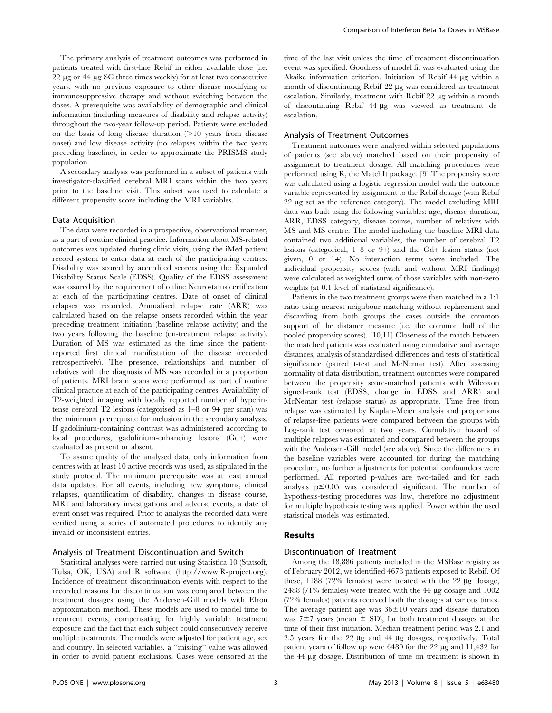The primary analysis of treatment outcomes was performed in patients treated with first-line Rebif in either available dose (i.e. 22 µg or 44 µg SC three times weekly) for at least two consecutive years, with no previous exposure to other disease modifying or immunosuppressive therapy and without switching between the doses. A prerequisite was availability of demographic and clinical information (including measures of disability and relapse activity) throughout the two-year follow-up period. Patients were excluded on the basis of long disease duration  $(>10$  years from disease onset) and low disease activity (no relapses within the two years preceding baseline), in order to approximate the PRISMS study population.

A secondary analysis was performed in a subset of patients with investigator-classified cerebral MRI scans within the two years prior to the baseline visit. This subset was used to calculate a different propensity score including the MRI variables.

#### Data Acquisition

The data were recorded in a prospective, observational manner, as a part of routine clinical practice. Information about MS-related outcomes was updated during clinic visits, using the iMed patient record system to enter data at each of the participating centres. Disability was scored by accredited scorers using the Expanded Disability Status Scale (EDSS). Quality of the EDSS assessment was assured by the requirement of online Neurostatus certification at each of the participating centres. Date of onset of clinical relapses was recorded. Annualised relapse rate (ARR) was calculated based on the relapse onsets recorded within the year preceding treatment initiation (baseline relapse activity) and the two years following the baseline (on-treatment relapse activity). Duration of MS was estimated as the time since the patientreported first clinical manifestation of the disease (recorded retrospectively). The presence, relationships and number of relatives with the diagnosis of MS was recorded in a proportion of patients. MRI brain scans were performed as part of routine clinical practice at each of the participating centres. Availability of T2-weighted imaging with locally reported number of hyperintense cerebral T2 lesions (categorised as 1–8 or 9+ per scan) was the minimum prerequisite for inclusion in the secondary analysis. If gadolinium-containing contrast was administered according to local procedures, gadolinium-enhancing lesions (Gd+) were evaluated as present or absent.

To assure quality of the analysed data, only information from centres with at least 10 active records was used, as stipulated in the study protocol. The minimum prerequisite was at least annual data updates. For all events, including new symptoms, clinical relapses, quantification of disability, changes in disease course, MRI and laboratory investigations and adverse events, a date of event onset was required. Prior to analysis the recorded data were verified using a series of automated procedures to identify any invalid or inconsistent entries.

#### Analysis of Treatment Discontinuation and Switch

Statistical analyses were carried out using Statistica 10 (Statsoft, Tulsa, OK, USA) and R software (http://www.R-project.org). Incidence of treatment discontinuation events with respect to the recorded reasons for discontinuation was compared between the treatment dosages using the Andersen-Gill models with Efron approximation method. These models are used to model time to recurrent events, compensating for highly variable treatment exposure and the fact that each subject could consecutively receive multiple treatments. The models were adjusted for patient age, sex and country. In selected variables, a ''missing'' value was allowed in order to avoid patient exclusions. Cases were censored at the

time of the last visit unless the time of treatment discontinuation event was specified. Goodness of model fit was evaluated using the Akaike information criterion. Initiation of Rebif 44 µg within a month of discontinuing Rebif 22 µg was considered as treatment escalation. Similarly, treatment with Rebif 22 µg within a month of discontinuing Rebif 44 mg was viewed as treatment deescalation.

#### Analysis of Treatment Outcomes

Treatment outcomes were analysed within selected populations of patients (see above) matched based on their propensity of assignment to treatment dosage. All matching procedures were performed using R, the MatchIt package. [9] The propensity score was calculated using a logistic regression model with the outcome variable represented by assignment to the Rebif dosage (with Rebif 22 µg set as the reference category). The model excluding MRI data was built using the following variables: age, disease duration, ARR, EDSS category, disease course, number of relatives with MS and MS centre. The model including the baseline MRI data contained two additional variables, the number of cerebral T2 lesions (categorical, 1–8 or 9+) and the Gd+ lesion status (not given, 0 or 1+). No interaction terms were included. The individual propensity scores (with and without MRI findings) were calculated as weighted sums of those variables with non-zero weights (at 0.1 level of statistical significance).

Patients in the two treatment groups were then matched in a 1:1 ratio using nearest neighbour matching without replacement and discarding from both groups the cases outside the common support of the distance measure (i.e. the common hull of the pooled propensity scores). [10,11] Closeness of the match between the matched patients was evaluated using cumulative and average distances, analysis of standardised differences and tests of statistical significance (paired t-test and McNemar test). After assessing normality of data distribution, treatment outcomes were compared between the propensity score-matched patients with Wilcoxon signed-rank test (EDSS, change in EDSS and ARR) and McNemar test (relapse status) as appropriate. Time free from relapse was estimated by Kaplan-Meier analysis and proportions of relapse-free patients were compared between the groups with Log-rank test censored at two years. Cumulative hazard of multiple relapses was estimated and compared between the groups with the Andersen-Gill model (see above). Since the differences in the baseline variables were accounted for during the matching procedure, no further adjustments for potential confounders were performed. All reported p-values are two-tailed and for each analysis  $p \leq 0.05$  was considered significant. The number of hypothesis-testing procedures was low, therefore no adjustment for multiple hypothesis testing was applied. Power within the used statistical models was estimated.

#### Results

#### Discontinuation of Treatment

Among the 18,886 patients included in the MSBase registry as of February 2012, we identified 4678 patients exposed to Rebif. Of these,  $1188$  (72% females) were treated with the 22  $\mu$ g dosage, 2488 (71% females) were treated with the 44 µg dosage and 1002 (72% females) patients received both the dosages at various times. The average patient age was  $36 \pm 10$  years and disease duration was  $7\pm7$  years (mean  $\pm$  SD), for both treatment dosages at the time of their first initiation. Median treatment period was 2.1 and 2.5 years for the  $22 \mu$ g and  $44 \mu$ g dosages, respectively. Total patient years of follow up were 6480 for the 22 µg and 11,432 for the 44 mg dosage. Distribution of time on treatment is shown in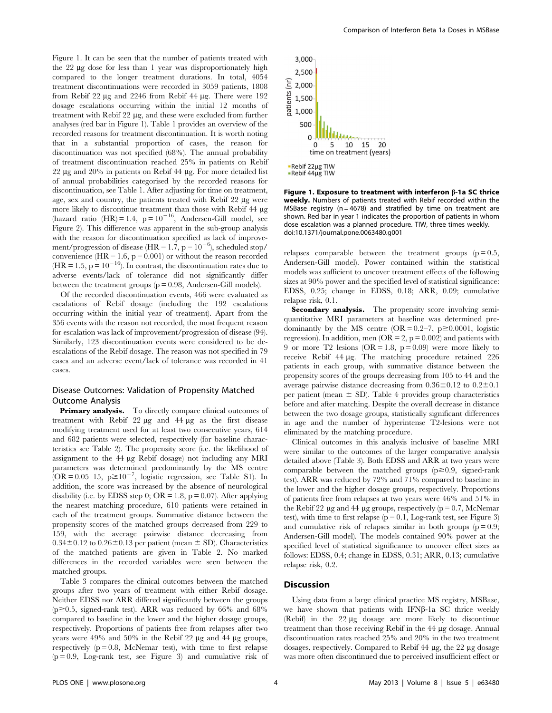Figure 1. It can be seen that the number of patients treated with the  $22 \mu$ g dose for less than 1 year was disproportionately high compared to the longer treatment durations. In total, 4054 treatment discontinuations were recorded in 3059 patients, 1808 from Rebif 22  $\mu$ g and 2246 from Rebif 44  $\mu$ g. There were 192 dosage escalations occurring within the initial 12 months of treatment with Rebif  $22 \mu$ g, and these were excluded from further analyses (red bar in Figure 1). Table 1 provides an overview of the recorded reasons for treatment discontinuation. It is worth noting that in a substantial proportion of cases, the reason for discontinuation was not specified (68%). The annual probability of treatment discontinuation reached 25% in patients on Rebif 22 µg and 20% in patients on Rebif 44 µg. For more detailed list of annual probabilities categorised by the recorded reasons for discontinuation, see Table 1. After adjusting for time on treatment, age, sex and country, the patients treated with Rebif 22 ug were more likely to discontinue treatment than those with Rebif 44 ug (hazard ratio  $(HR) = 1.4$ ,  $p = 10^{-16}$ , Andersen-Gill model, see Figure 2). This difference was apparent in the sub-group analysis with the reason for discontinuation specified as lack of improvement/progression of disease (HR =  $1.\overline{7}$ , p =  $10^{-6}$ ), scheduled stop/ convenience ( $HR = 1.6$ ,  $p = 0.001$ ) or without the reason recorded  $(HR = 1.5, p = 10^{-16})$ . In contrast, the discontinuation rates due to adverse events/lack of tolerance did not significantly differ between the treatment groups (p = 0.98, Andersen-Gill models).

Of the recorded discontinuation events, 466 were evaluated as escalations of Rebif dosage (including the 192 escalations occurring within the initial year of treatment). Apart from the 356 events with the reason not recorded, the most frequent reason for escalation was lack of improvement/progression of disease (94). Similarly, 123 discontinuation events were considered to be deescalations of the Rebif dosage. The reason was not specified in 79 cases and an adverse event/lack of tolerance was recorded in 41 cases.

## Disease Outcomes: Validation of Propensity Matched Outcome Analysis

**Primary analysis.** To directly compare clinical outcomes of treatment with Rebif  $22 \mu$ g and  $44 \mu$ g as the first disease modifying treatment used for at least two consecutive years, 614 and 682 patients were selected, respectively (for baseline characteristics see Table 2). The propensity score (i.e. the likelihood of assignment to the 44 mg Rebif dosage) not including any MRI parameters was determined predominantly by the MS centre  $(OR = 0.05-15, p \ge 10^{-7})$ , logistic regression, see Table S1). In addition, the score was increased by the absence of neurological disability (i.e. by EDSS step 0; OR = 1.8,  $p = 0.07$ ). After applying the nearest matching procedure, 610 patients were retained in each of the treatment groups. Summative distance between the propensity scores of the matched groups decreased from 229 to 159, with the average pairwise distance decreasing from  $0.34\pm0.12$  to  $0.26\pm0.13$  per patient (mean  $\pm$  SD). Characteristics of the matched patients are given in Table 2. No marked differences in the recorded variables were seen between the matched groups.

Table 3 compares the clinical outcomes between the matched groups after two years of treatment with either Rebif dosage. Neither EDSS nor ARR differed significantly between the groups  $(p \ge 0.5,$  signed-rank test). ARR was reduced by 66% and 68% compared to baseline in the lower and the higher dosage groups, respectively. Proportions of patients free from relapses after two years were  $49\%$  and  $50\%$  in the Rebif 22 µg and 44 µg groups, respectively  $(p = 0.8, \text{McNemar test})$ , with time to first relapse  $(p = 0.9,$  Log-rank test, see Figure 3) and cumulative risk of



Figure 1. Exposure to treatment with interferon  $\beta$ -1a SC thrice weekly. Numbers of patients treated with Rebif recorded within the MSBase registry ( $n = 4678$ ) and stratified by time on treatment are shown. Red bar in year 1 indicates the proportion of patients in whom dose escalation was a planned procedure. TIW, three times weekly. doi:10.1371/journal.pone.0063480.g001

relapses comparable between the treatment groups  $(p=0.5,$ Andersen-Gill model). Power contained within the statistical models was sufficient to uncover treatment effects of the following sizes at 90% power and the specified level of statistical significance: EDSS, 0.25; change in EDSS, 0.18; ARR, 0.09; cumulative relapse risk, 0.1.

Secondary analysis. The propensity score involving semiquantitative MRI parameters at baseline was determined predominantly by the MS centre (OR =  $0.2-7$ , p $\geq 0.0001$ , logistic regression). In addition, men ( $OR = 2$ ,  $p = 0.002$ ) and patients with 9 or more T2 lesions ( $OR = 1.8$ ,  $p = 0.09$ ) were more likely to receive Rebif 44 mg. The matching procedure retained 226 patients in each group, with summative distance between the propensity scores of the groups decreasing from 105 to 44 and the average pairwise distance decreasing from  $0.36 \pm 0.12$  to  $0.2 \pm 0.1$ per patient (mean  $\pm$  SD). Table 4 provides group characteristics before and after matching. Despite the overall decrease in distance between the two dosage groups, statistically significant differences in age and the number of hyperintense T2-lesions were not eliminated by the matching procedure.

Clinical outcomes in this analysis inclusive of baseline MRI were similar to the outcomes of the larger comparative analysis detailed above (Table 3). Both EDSS and ARR at two years were comparable between the matched groups  $(p\geq 0.9,$  signed-rank test). ARR was reduced by 72% and 71% compared to baseline in the lower and the higher dosage groups, respectively. Proportions of patients free from relapses at two years were 46% and 51% in the Rebif 22  $\mu$ g and 44  $\mu$ g groups, respectively (p = 0.7, McNemar test), with time to first relapse  $(p = 0.1,$  Log-rank test, see Figure 3) and cumulative risk of relapses similar in both groups ( $p = 0.9$ ; Andersen-Gill model). The models contained 90% power at the specified level of statistical significance to uncover effect sizes as follows: EDSS, 0.4; change in EDSS, 0.31; ARR, 0.13; cumulative relapse risk, 0.2.

## Discussion

Using data from a large clinical practice MS registry, MSBase, we have shown that patients with  $IFN\beta-1a$  SC thrice weekly (Rebif) in the  $22 \mu$ g dosage are more likely to discontinue treatment than those receiving Rebif in the 44 mg dosage. Annual discontinuation rates reached 25% and 20% in the two treatment dosages, respectively. Compared to Rebif 44 µg, the 22 µg dosage was more often discontinued due to perceived insufficient effect or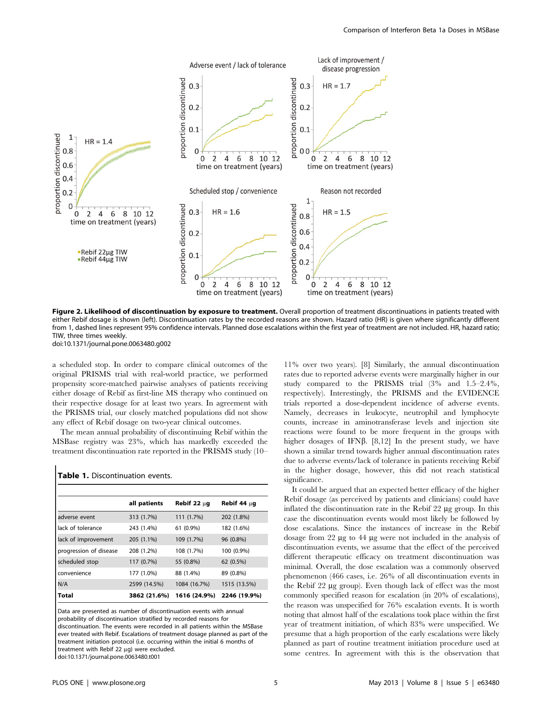

Figure 2. Likelihood of discontinuation by exposure to treatment. Overall proportion of treatment discontinuations in patients treated with either Rebif dosage is shown (left). Discontinuation rates by the recorded reasons are shown. Hazard ratio (HR) is given where significantly different from 1, dashed lines represent 95% confidence intervals. Planned dose escalations within the first year of treatment are not included. HR, hazard ratio; TIW, three times weekly.

doi:10.1371/journal.pone.0063480.g002

a scheduled stop. In order to compare clinical outcomes of the original PRISMS trial with real-world practice, we performed propensity score-matched pairwise analyses of patients receiving either dosage of Rebif as first-line MS therapy who continued on their respective dosage for at least two years. In agreement with the PRISMS trial, our closely matched populations did not show any effect of Rebif dosage on two-year clinical outcomes.

The mean annual probability of discontinuing Rebif within the MSBase registry was 23%, which has markedly exceeded the treatment discontinuation rate reported in the PRISMS study (10–

## Table 1. Discontinuation events.

|                        | all patients | Rebif 22 $\mu$ q | Rebif 44 $\mu$ q |
|------------------------|--------------|------------------|------------------|
| adverse event          | 313 (1.7%)   | 111 (1.7%)       | 202 (1.8%)       |
| lack of tolerance      | 243 (1.4%)   | $61(0.9\%)$      | 182 (1.6%)       |
| lack of improvement    | 205 (1.1%)   | 109 (1.7%)       | 96 (0.8%)        |
| progression of disease | 208 (1.2%)   | 108 (1.7%)       | 100 (0.9%)       |
| scheduled stop         | 117 (0.7%)   | 55 (0.8%)        | 62 (0.5%)        |
| convenience            | 177 (1.0%)   | 88 (1.4%)        | 89 (0.8%)        |
| N/A                    | 2599 (14.5%) | 1084 (16.7%)     | 1515 (13.5%)     |
| Total                  | 3862 (21.6%) | 1616 (24.9%)     | 2246 (19.9%)     |

Data are presented as number of discontinuation events with annual probability of discontinuation stratified by recorded reasons for discontinuation. The events were recorded in all patients within the MSBase ever treated with Rebif. Escalations of treatment dosage planned as part of the treatment initiation protocol (i.e. occurring within the initial 6 months of treatment with Rebif 22 ug) were excluded doi:10.1371/journal.pone.0063480.t001

11% over two years). [8] Similarly, the annual discontinuation rates due to reported adverse events were marginally higher in our study compared to the PRISMS trial (3% and 1.5–2.4%, respectively). Interestingly, the PRISMS and the EVIDENCE trials reported a dose-dependent incidence of adverse events. Namely, decreases in leukocyte, neutrophil and lymphocyte counts, increase in aminotransferase levels and injection site reactions were found to be more frequent in the groups with higher dosages of IFN $\beta$ . [8,12] In the present study, we have shown a similar trend towards higher annual discontinuation rates due to adverse events/lack of tolerance in patients receiving Rebif in the higher dosage, however, this did not reach statistical significance.

It could be argued that an expected better efficacy of the higher Rebif dosage (as perceived by patients and clinicians) could have inflated the discontinuation rate in the Rebif  $22 \mu$ g group. In this case the discontinuation events would most likely be followed by dose escalations. Since the instances of increase in the Rebif dosage from 22  $\mu$ g to 44  $\mu$ g were not included in the analysis of discontinuation events, we assume that the effect of the perceived different therapeutic efficacy on treatment discontinuation was minimal. Overall, the dose escalation was a commonly observed phenomenon (466 cases, i.e. 26% of all discontinuation events in the Rebif 22 µg group). Even though lack of effect was the most commonly specified reason for escalation (in 20% of escalations), the reason was unspecified for 76% escalation events. It is worth noting that almost half of the escalations took place within the first year of treatment initiation, of which 83% were unspecified. We presume that a high proportion of the early escalations were likely planned as part of routine treatment initiation procedure used at some centres. In agreement with this is the observation that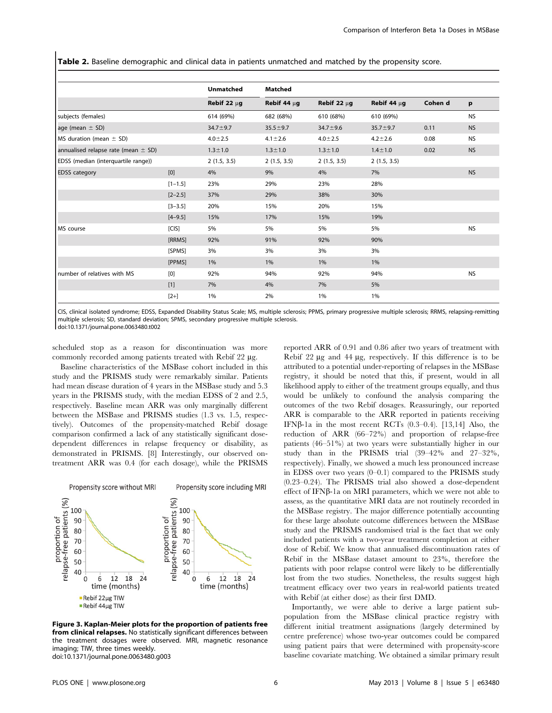Table 2. Baseline demographic and clinical data in patients unmatched and matched by the propensity score.

|                                         |             | <b>Unmatched</b> | <b>Matched</b>   |                  |                  |         |           |  |
|-----------------------------------------|-------------|------------------|------------------|------------------|------------------|---------|-----------|--|
|                                         |             | Rebif 22 $\mu$ g | Rebif 44 $\mu$ g | Rebif 22 $\mu$ g | Rebif 44 $\mu$ g | Cohen d | p         |  |
| subjects (females)                      |             | 614 (69%)        | 682 (68%)        | 610 (68%)        | 610 (69%)        |         | <b>NS</b> |  |
| age (mean $\pm$ SD)                     |             | $34.7 \pm 9.7$   | $35.5 \pm 9.7$   | $34.7 \pm 9.6$   | $35.7 \pm 9.7$   | 0.11    | <b>NS</b> |  |
| MS duration (mean $\pm$ SD)             |             | $4.0 + 2.5$      | $4.1 \pm 2.6$    | $4.0 + 2.5$      | $4.2 + 2.6$      | 0.08    | <b>NS</b> |  |
| annualised relapse rate (mean $\pm$ SD) |             | $1.3 \pm 1.0$    | $1.3 \pm 1.0$    | $1.3 \pm 1.0$    | $1.4 + 1.0$      | 0.02    | <b>NS</b> |  |
| EDSS (median (interquartile range))     |             | 2(1.5, 3.5)      | 2(1.5, 3.5)      | 2(1.5, 3.5)      | 2(1.5, 3.5)      |         |           |  |
| <b>EDSS</b> category                    | [0]         | 4%               | 9%               | 4%               | 7%               |         | <b>NS</b> |  |
|                                         | $[1 - 1.5]$ | 23%              | 29%              | 23%              | 28%              |         |           |  |
|                                         | $[2 - 2.5]$ | 37%              | 29%              | 38%              | 30%              |         |           |  |
|                                         | $[3 - 3.5]$ | 20%              | 15%              | 20%              | 15%              |         |           |  |
|                                         | $[4 - 9.5]$ | 15%              | 17%              | 15%              | 19%              |         |           |  |
| MS course                               | [CIS]       | 5%               | 5%               | 5%               | 5%               |         | <b>NS</b> |  |
|                                         | [RRMS]      | 92%              | 91%              | 92%              | 90%              |         |           |  |
|                                         | [SPMS]      | 3%               | 3%               | 3%               | 3%               |         |           |  |
|                                         | [PPMS]      | 1%               | 1%               | 1%               | 1%               |         |           |  |
| number of relatives with MS             | [0]         | 92%              | 94%              | 92%              | 94%              |         | <b>NS</b> |  |
|                                         | $[1]$       | 7%               | 4%               | 7%               | 5%               |         |           |  |
|                                         | $[2+]$      | 1%               | 2%               | 1%               | 1%               |         |           |  |

CIS, clinical isolated syndrome; EDSS, Expanded Disability Status Scale; MS, multiple sclerosis; PPMS, primary progressive multiple sclerosis; RRMS, relapsing-remitting multiple sclerosis; SD, standard deviation; SPMS, secondary progressive multiple sclerosis. doi:10.1371/journal.pone.0063480.t002

scheduled stop as a reason for discontinuation was more commonly recorded among patients treated with Rebif 22 µg.

Baseline characteristics of the MSBase cohort included in this study and the PRISMS study were remarkably similar. Patients had mean disease duration of 4 years in the MSBase study and 5.3 years in the PRISMS study, with the median EDSS of 2 and 2.5, respectively. Baseline mean ARR was only marginally different between the MSBase and PRISMS studies (1.3 vs. 1.5, respectively). Outcomes of the propensity-matched Rebif dosage comparison confirmed a lack of any statistically significant dosedependent differences in relapse frequency or disability, as demonstrated in PRISMS. [8] Interestingly, our observed ontreatment ARR was 0.4 (for each dosage), while the PRISMS



Figure 3. Kaplan-Meier plots for the proportion of patients free from clinical relapses. No statistically significant differences between the treatment dosages were observed. MRI, magnetic resonance imaging; TIW, three times weekly. doi:10.1371/journal.pone.0063480.g003

reported ARR of 0.91 and 0.86 after two years of treatment with Rebif 22  $\mu$ g and 44  $\mu$ g, respectively. If this difference is to be attributed to a potential under-reporting of relapses in the MSBase registry, it should be noted that this, if present, would in all likelihood apply to either of the treatment groups equally, and thus would be unlikely to confound the analysis comparing the outcomes of the two Rebif dosages. Reassuringly, our reported ARR is comparable to the ARR reported in patients receiving IFN $\beta$ -1a in the most recent RCTs  $(0.3-0.4)$ . [13,14] Also, the reduction of ARR (66–72%) and proportion of relapse-free patients (46–51%) at two years were substantially higher in our study than in the PRISMS trial (39–42% and 27–32%, respectively). Finally, we showed a much less pronounced increase in EDSS over two years (0–0.1) compared to the PRISMS study (0.23–0.24). The PRISMS trial also showed a dose-dependent effect of IFN $\beta$ -1a on MRI parameters, which we were not able to assess, as the quantitative MRI data are not routinely recorded in the MSBase registry. The major difference potentially accounting for these large absolute outcome differences between the MSBase study and the PRISMS randomised trial is the fact that we only included patients with a two-year treatment completion at either dose of Rebif. We know that annualised discontinuation rates of Rebif in the MSBase dataset amount to 23%, therefore the patients with poor relapse control were likely to be differentially lost from the two studies. Nonetheless, the results suggest high treatment efficacy over two years in real-world patients treated with Rebif (at either dose) as their first DMD.

Importantly, we were able to derive a large patient subpopulation from the MSBase clinical practice registry with different initial treatment assignations (largely determined by centre preference) whose two-year outcomes could be compared using patient pairs that were determined with propensity-score baseline covariate matching. We obtained a similar primary result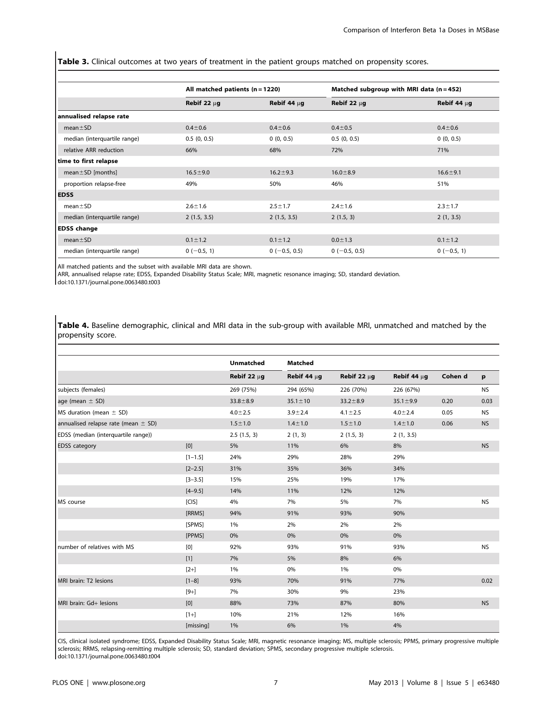Table 3. Clinical outcomes at two years of treatment in the patient groups matched on propensity scores.

|                              | All matched patients (n = 1220) |                  | Matched subgroup with MRI data ( $n = 452$ ) |                  |  |
|------------------------------|---------------------------------|------------------|----------------------------------------------|------------------|--|
|                              | Rebif 22 $\mu$ g                | Rebif 44 $\mu$ g | Rebif 22 $\mu$ g                             | Rebif 44 $\mu$ g |  |
| annualised relapse rate      |                                 |                  |                                              |                  |  |
| $mean \pm SD$                | $0.4 \pm 0.6$                   | $0.4 + 0.6$      | $0.4 \pm 0.5$                                | $0.4 + 0.6$      |  |
| median (interquartile range) | 0.5(0, 0.5)                     | 0(0, 0.5)        | 0.5(0, 0.5)                                  | 0(0, 0.5)        |  |
| relative ARR reduction       | 66%                             | 68%              | 72%                                          | 71%              |  |
| time to first relapse        |                                 |                  |                                              |                  |  |
| $mean \pm SD$ [months]       | $16.5 \pm 9.0$                  | $16.2 \pm 9.3$   | $16.0 \pm 8.9$                               | $16.6 \pm 9.1$   |  |
| proportion relapse-free      | 49%                             | 50%              | 46%                                          | 51%              |  |
| <b>EDSS</b>                  |                                 |                  |                                              |                  |  |
| mean <sub>±</sub> SD         | $2.6 \pm 1.6$                   | $2.5 \pm 1.7$    | $2.4 \pm 1.6$                                | $2.3 \pm 1.7$    |  |
| median (interquartile range) | 2(1.5, 3.5)                     | 2(1.5, 3.5)      | 2(1.5, 3)                                    | 2(1, 3.5)        |  |
| <b>EDSS</b> change           |                                 |                  |                                              |                  |  |
| $mean \pm SD$                | $0.1 \pm 1.2$                   | $0.1 \pm 1.2$    | $0.0 \pm 1.3$                                | $0.1 \pm 1.2$    |  |
| median (interquartile range) | $0(-0.5, 1)$                    | $0(-0.5, 0.5)$   | $0$ (-0.5, 0.5)                              | $0(-0.5, 1)$     |  |

All matched patients and the subset with available MRI data are shown.

ARR, annualised relapse rate; EDSS, Expanded Disability Status Scale; MRI, magnetic resonance imaging; SD, standard deviation.

doi:10.1371/journal.pone.0063480.t003

Table 4. Baseline demographic, clinical and MRI data in the sub-group with available MRI, unmatched and matched by the propensity score.

|                                         |             | <b>Unmatched</b><br>Rebif 22 $\mu$ g | <b>Matched</b>   |                  |                  |         |           |  |  |
|-----------------------------------------|-------------|--------------------------------------|------------------|------------------|------------------|---------|-----------|--|--|
|                                         |             |                                      | Rebif 44 $\mu$ g | Rebif 22 $\mu$ g | Rebif 44 $\mu$ g | Cohen d | p         |  |  |
| subjects (females)                      |             | 269 (75%)                            | 294 (65%)        | 226 (70%)        | 226 (67%)        |         | <b>NS</b> |  |  |
| age (mean $\pm$ SD)                     |             | $33.8 + 8.9$                         | $35.1 \pm 10$    | $33.2 \pm 8.9$   | $35.1 \pm 9.9$   | 0.20    | 0.03      |  |  |
| MS duration (mean $\pm$ SD)             |             | $4.0 + 2.5$                          | $3.9 + 2.4$      | $4.1 \pm 2.5$    | $4.0 \pm 2.4$    | 0.05    | <b>NS</b> |  |  |
| annualised relapse rate (mean $\pm$ SD) |             | $1.5 + 1.0$                          | $1.4 + 1.0$      | $1.5 \pm 1.0$    | $1.4 \pm 1.0$    | 0.06    | <b>NS</b> |  |  |
| EDSS (median (interquartile range))     |             | 2.5(1.5, 3)                          | 2(1, 3)          | 2(1.5, 3)        | 2(1, 3.5)        |         |           |  |  |
| <b>EDSS</b> category                    | [0]         | 5%                                   | 11%              | 6%               | 8%               |         | <b>NS</b> |  |  |
|                                         | $[1 - 1.5]$ | 24%                                  | 29%              | 28%              | 29%              |         |           |  |  |
|                                         | $[2 - 2.5]$ | 31%                                  | 35%              | 36%              | 34%              |         |           |  |  |
|                                         | $[3 - 3.5]$ | 15%                                  | 25%              | 19%              | 17%              |         |           |  |  |
|                                         | $[4 - 9.5]$ | 14%                                  | 11%              | 12%              | 12%              |         |           |  |  |
| MS course                               | [CIS]       | 4%                                   | 7%               | 5%               | 7%               |         | <b>NS</b> |  |  |
|                                         | [RRMS]      | 94%                                  | 91%              | 93%              | 90%              |         |           |  |  |
|                                         | [SPMS]      | 1%                                   | 2%               | 2%               | 2%               |         |           |  |  |
|                                         | [PPMS]      | 0%                                   | 0%               | 0%               | 0%               |         |           |  |  |
| number of relatives with MS             | [0]         | 92%                                  | 93%              | 91%              | 93%              |         | <b>NS</b> |  |  |
|                                         | $[1]$       | 7%                                   | 5%               | 8%               | 6%               |         |           |  |  |
|                                         | $[2+]$      | 1%                                   | 0%               | 1%               | 0%               |         |           |  |  |
| MRI brain: T2 lesions                   | $[1-8]$     | 93%                                  | 70%              | 91%              | 77%              |         | 0.02      |  |  |
|                                         | $[9+]$      | 7%                                   | 30%              | 9%               | 23%              |         |           |  |  |
| MRI brain: Gd+ lesions                  | [0]         | 88%                                  | 73%              | 87%              | 80%              |         | <b>NS</b> |  |  |
|                                         | $[1+]$      | 10%                                  | 21%              | 12%              | 16%              |         |           |  |  |
|                                         | [missing]   | 1%                                   | 6%               | 1%               | 4%               |         |           |  |  |

CIS, clinical isolated syndrome; EDSS, Expanded Disability Status Scale; MRI, magnetic resonance imaging; MS, multiple sclerosis; PPMS, primary progressive multiple sclerosis; RRMS, relapsing-remitting multiple sclerosis; SD, standard deviation; SPMS, secondary progressive multiple sclerosis. doi:10.1371/journal.pone.0063480.t004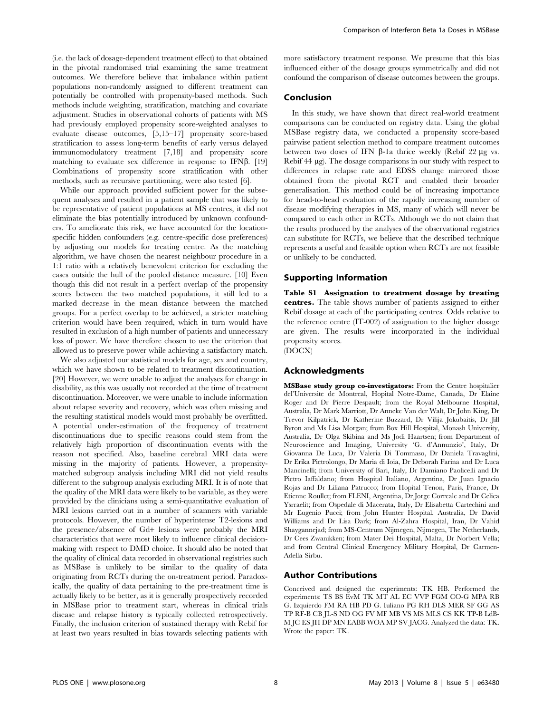(i.e. the lack of dosage-dependent treatment effect) to that obtained in the pivotal randomised trial examining the same treatment outcomes. We therefore believe that imbalance within patient populations non-randomly assigned to different treatment can potentially be controlled with propensity-based methods. Such methods include weighting, stratification, matching and covariate adjustment. Studies in observational cohorts of patients with MS had previously employed propensity score-weighted analyses to evaluate disease outcomes, [5,15–17] propensity score-based stratification to assess long-term benefits of early versus delayed immunomodulatory treatment [7,18] and propensity score matching to evaluate sex difference in response to IFN $\beta$ . [19] Combinations of propensity score stratification with other methods, such as recursive partitioning, were also tested [6].

While our approach provided sufficient power for the subsequent analyses and resulted in a patient sample that was likely to be representative of patient populations at MS centres, it did not eliminate the bias potentially introduced by unknown confounders. To ameliorate this risk, we have accounted for the locationspecific hidden confounders (e.g. centre-specific dose preferences) by adjusting our models for treating centre. As the matching algorithm, we have chosen the nearest neighbour procedure in a 1:1 ratio with a relatively benevolent criterion for excluding the cases outside the hull of the pooled distance measure. [10] Even though this did not result in a perfect overlap of the propensity scores between the two matched populations, it still led to a marked decrease in the mean distance between the matched groups. For a perfect overlap to be achieved, a stricter matching criterion would have been required, which in turn would have resulted in exclusion of a high number of patients and unnecessary loss of power. We have therefore chosen to use the criterion that allowed us to preserve power while achieving a satisfactory match.

We also adjusted our statistical models for age, sex and country, which we have shown to be related to treatment discontinuation. [20] However, we were unable to adjust the analyses for change in disability, as this was usually not recorded at the time of treatment discontinuation. Moreover, we were unable to include information about relapse severity and recovery, which was often missing and the resulting statistical models would most probably be overfitted. A potential under-estimation of the frequency of treatment discontinuations due to specific reasons could stem from the relatively high proportion of discontinuation events with the reason not specified. Also, baseline cerebral MRI data were missing in the majority of patients. However, a propensitymatched subgroup analysis including MRI did not yield results different to the subgroup analysis excluding MRI. It is of note that the quality of the MRI data were likely to be variable, as they were provided by the clinicians using a semi-quantitative evaluation of MRI lesions carried out in a number of scanners with variable protocols. However, the number of hyperintense T2-lesions and the presence/absence of Gd+ lesions were probably the MRI characteristics that were most likely to influence clinical decisionmaking with respect to DMD choice. It should also be noted that the quality of clinical data recorded in observational registries such as MSBase is unlikely to be similar to the quality of data originating from RCTs during the on-treatment period. Paradoxically, the quality of data pertaining to the pre-treatment time is actually likely to be better, as it is generally prospectively recorded in MSBase prior to treatment start, whereas in clinical trials disease and relapse history is typically collected retrospectively. Finally, the inclusion criterion of sustained therapy with Rebif for at least two years resulted in bias towards selecting patients with

more satisfactory treatment response. We presume that this bias influenced either of the dosage groups symmetrically and did not confound the comparison of disease outcomes between the groups.

#### Conclusion

In this study, we have shown that direct real-world treatment comparisons can be conducted on registry data. Using the global MSBase registry data, we conducted a propensity score-based pairwise patient selection method to compare treatment outcomes between two doses of IFN  $\beta$ -1a thrice weekly (Rebif 22 µg vs. Rebif  $44 \mu$ g). The dosage comparisons in our study with respect to differences in relapse rate and EDSS change mirrored those obtained from the pivotal RCT and enabled their broader generalisation. This method could be of increasing importance for head-to-head evaluation of the rapidly increasing number of disease modifying therapies in MS, many of which will never be compared to each other in RCTs. Although we do not claim that the results produced by the analyses of the observational registries can substitute for RCTs, we believe that the described technique represents a useful and feasible option when RCTs are not feasible or unlikely to be conducted.

#### Supporting Information

Table S1 Assignation to treatment dosage by treating centres. The table shows number of patients assigned to either Rebif dosage at each of the participating centres. Odds relative to the reference centre (IT-002) of assignation to the higher dosage are given. The results were incorporated in the individual propensity scores. (DOCX)

#### Acknowledgments

MSBase study group co-investigators: From the Centre hospitalier del'Universite de Montreal, Hopital Notre-Dame, Canada, Dr Elaine Roger and Dr Pierre Despault; from the Royal Melbourne Hospital, Australia, Dr Mark Marriott, Dr Anneke Van der Walt, Dr John King, Dr Trevor Kilpatrick, Dr Katherine Buzzard, Dr Vilija Jokubaitis, Dr Jill Byron and Ms Lisa Morgan; from Box Hill Hospital, Monash University, Australia, Dr Olga Skibina and Ms Jodi Haartsen; from Department of Neuroscience and Imaging, University 'G. d'Annunzio', Italy, Dr Giovanna De Luca, Dr Valeria Di Tommaso, Dr Daniela Travaglini, Dr Erika Pietrolongo, Dr Maria di Ioia, Dr Deborah Farina and Dr Luca Mancinelli; from University of Bari, Italy, Dr Damiano Paolicelli and Dr Pietro Iaffaldano; from Hospital Italiano, Argentina, Dr Juan Ignacio Rojas and Dr Liliana Patrucco; from Hopital Tenon, Paris, France, Dr Etienne Roullet; from FLENI, Argentina, Dr Jorge Correale and Dr Celica Ysrraelit; from Ospedale di Macerata, Italy, Dr Elisabetta Cartechini and Mr Eugenio Pucci; from John Hunter Hospital, Australia, Dr David Williams and Dr Lisa Dark; from Al-Zahra Hospital, Iran, Dr Vahid Shaygannejad; from MS-Centrum Nijmegen, Nijmegen, The Netherlands, Dr Cees Zwanikken; from Mater Dei Hospital, Malta, Dr Norbert Vella; and from Central Clinical Emergency Military Hospital, Dr Carmen-Adella Sirbu.

#### Author Contributions

Conceived and designed the experiments: TK HB. Performed the experiments: TS BS EvM TK MT AL EC VVP FGM CO-G MPA RB G. Izquierdo FM RA HB PD G. Iuliano PG RH DLS MER SF GG AS TP RF-B CB JL-S ND OG FV MF MB VS MS MLS CS KK TP-B LdB-M JC ES JH DP MN EABB WOA MP SV JACG. Analyzed the data: TK. Wrote the paper: TK.